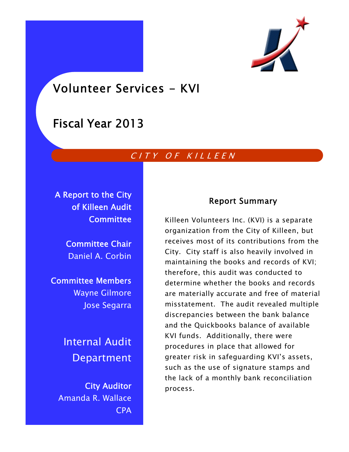

Volunteer Services - KVI

# Fiscal Year 2013

# CITY OF KILLEEN

A Report to the City of Killeen Audit **Committee** 

> Committee Chair Daniel A. Corbin

Committee Members Wayne Gilmore Jose Segarra

> Internal Audit Department

City Auditor Amanda R. Wallace CPA

# Report Summary

Killeen Volunteers Inc. (KVI) is a separate organization from the City of Killeen, but receives most of its contributions from the City. City staff is also heavily involved in maintaining the books and records of KVI; therefore, this audit was conducted to determine whether the books and records are materially accurate and free of material misstatement. The audit revealed multiple discrepancies between the bank balance and the Quickbooks balance of available KVI funds. Additionally, there were procedures in place that allowed for greater risk in safeguarding KVI's assets, such as the use of signature stamps and the lack of a monthly bank reconciliation process.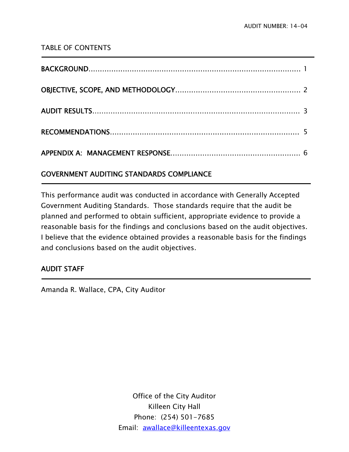# TABLE OF CONTENTS

# GOVERNMENT AUDITING STANDARDS COMPLIANCE

This performance audit was conducted in accordance with Generally Accepted Government Auditing Standards. Those standards require that the audit be planned and performed to obtain sufficient, appropriate evidence to provide a reasonable basis for the findings and conclusions based on the audit objectives. I believe that the evidence obtained provides a reasonable basis for the findings and conclusions based on the audit objectives.

# AUDIT STAFF

j

j

Amanda R. Wallace, CPA, City Auditor

Office of the City Auditor Killeen City Hall Phone: (254) 501-7685 Email: awallace@killeentexas.gov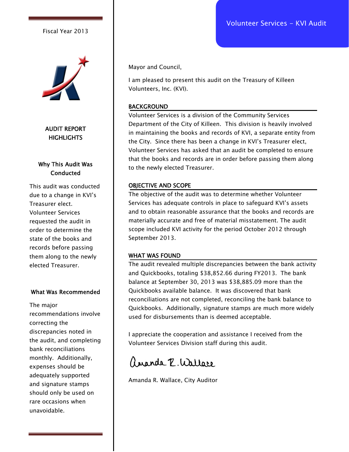Volunteer Services - KVI Audit

### Fiscal Year 2013



AUDIT REPORT **HIGHLIGHTS** 

# Why This Audit Was **Conducted**

This audit was conducted due to a change in KVI's Treasurer elect. Volunteer Services requested the audit in order to determine the state of the books and records before passing them along to the newly elected Treasurer.

### What Was Recommended

The major recommendations involve correcting the discrepancies noted in the audit, and completing bank reconciliations monthly. Additionally, expenses should be adequately supported and signature stamps should only be used on rare occasions when unavoidable.

Mayor and Council,

I am pleased to present this audit on the Treasury of Killeen Volunteers, Inc. (KVI).

#### BACKGROUND

Volunteer Services is a division of the Community Services Department of the City of Killeen. This division is heavily involved in maintaining the books and records of KVI, a separate entity from the City. Since there has been a change in KVI's Treasurer elect, Volunteer Services has asked that an audit be completed to ensure that the books and records are in order before passing them along to the newly elected Treasurer.

#### OBJECTIVE AND SCOPE

The objective of the audit was to determine whether Volunteer Services has adequate controls in place to safeguard KVI's assets and to obtain reasonable assurance that the books and records are materially accurate and free of material misstatement. The audit scope included KVI activity for the period October 2012 through September 2013.

#### WHAT WAS FOUND

The audit revealed multiple discrepancies between the bank activity and Quickbooks, totaling \$38,852.66 during FY2013. The bank balance at September 30, 2013 was \$38,885.09 more than the Quickbooks available balance. It was discovered that bank reconciliations are not completed, reconciling the bank balance to Quickbooks. Additionally, signature stamps are much more widely used for disbursements than is deemed acceptable.

I appreciate the cooperation and assistance I received from the Volunteer Services Division staff during this audit.

ananda P. Wallace

Amanda R. Wallace, City Auditor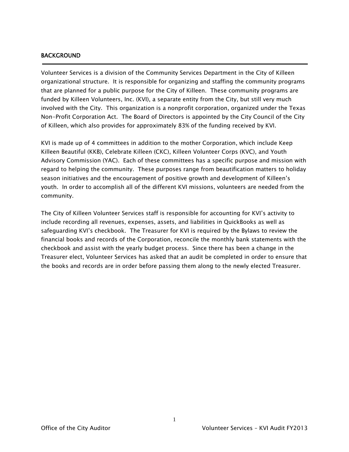#### BACKGROUND

j

Volunteer Services is a division of the Community Services Department in the City of Killeen organizational structure. It is responsible for organizing and staffing the community programs that are planned for a public purpose for the City of Killeen. These community programs are funded by Killeen Volunteers, Inc. (KVI), a separate entity from the City, but still very much involved with the City. This organization is a nonprofit corporation, organized under the Texas Non-Profit Corporation Act. The Board of Directors is appointed by the City Council of the City of Killeen, which also provides for approximately 83% of the funding received by KVI.

KVI is made up of 4 committees in addition to the mother Corporation, which include Keep Killeen Beautiful (KKB), Celebrate Killeen (CKC), Killeen Volunteer Corps (KVC), and Youth Advisory Commission (YAC). Each of these committees has a specific purpose and mission with regard to helping the community. These purposes range from beautification matters to holiday season initiatives and the encouragement of positive growth and development of Killeen's youth. In order to accomplish all of the different KVI missions, volunteers are needed from the community.

The City of Killeen Volunteer Services staff is responsible for accounting for KVI's activity to include recording all revenues, expenses, assets, and liabilities in QuickBooks as well as safeguarding KVI's checkbook. The Treasurer for KVI is required by the Bylaws to review the financial books and records of the Corporation, reconcile the monthly bank statements with the checkbook and assist with the yearly budget process. Since there has been a change in the Treasurer elect, Volunteer Services has asked that an audit be completed in order to ensure that the books and records are in order before passing them along to the newly elected Treasurer.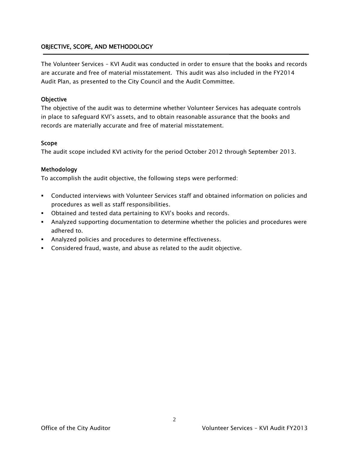# OBJECTIVE, SCOPE, AND METHODOLOGY

The Volunteer Services – KVI Audit was conducted in order to ensure that the books and records are accurate and free of material misstatement. This audit was also included in the FY2014 Audit Plan, as presented to the City Council and the Audit Committee.

### **Objective**

The objective of the audit was to determine whether Volunteer Services has adequate controls in place to safeguard KVI's assets, and to obtain reasonable assurance that the books and records are materially accurate and free of material misstatement.

### Scope

The audit scope included KVI activity for the period October 2012 through September 2013.

### Methodology

To accomplish the audit objective, the following steps were performed:

- Conducted interviews with Volunteer Services staff and obtained information on policies and procedures as well as staff responsibilities.
- Obtained and tested data pertaining to KVI's books and records.
- Analyzed supporting documentation to determine whether the policies and procedures were adhered to.
- Analyzed policies and procedures to determine effectiveness.
- Considered fraud, waste, and abuse as related to the audit objective.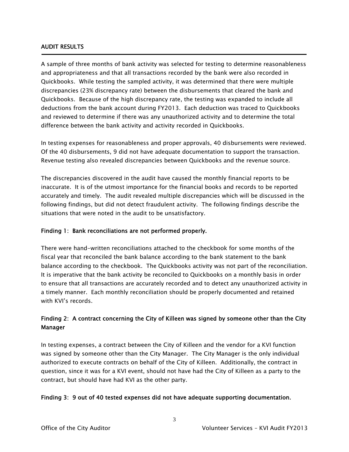### AUDIT RESULTS

Ī

A sample of three months of bank activity was selected for testing to determine reasonableness and appropriateness and that all transactions recorded by the bank were also recorded in Quickbooks. While testing the sampled activity, it was determined that there were multiple discrepancies (23% discrepancy rate) between the disbursements that cleared the bank and Quickbooks. Because of the high discrepancy rate, the testing was expanded to include all deductions from the bank account during FY2013. Each deduction was traced to Quickbooks and reviewed to determine if there was any unauthorized activity and to determine the total difference between the bank activity and activity recorded in Quickbooks.

In testing expenses for reasonableness and proper approvals, 40 disbursements were reviewed. Of the 40 disbursements, 9 did not have adequate documentation to support the transaction. Revenue testing also revealed discrepancies between Quickbooks and the revenue source.

The discrepancies discovered in the audit have caused the monthly financial reports to be inaccurate. It is of the utmost importance for the financial books and records to be reported accurately and timely. The audit revealed multiple discrepancies which will be discussed in the following findings, but did not detect fraudulent activity. The following findings describe the situations that were noted in the audit to be unsatisfactory.

## Finding 1: Bank reconciliations are not performed properly.

There were hand-written reconciliations attached to the checkbook for some months of the fiscal year that reconciled the bank balance according to the bank statement to the bank balance according to the checkbook. The Quickbooks activity was not part of the reconciliation. It is imperative that the bank activity be reconciled to Quickbooks on a monthly basis in order to ensure that all transactions are accurately recorded and to detect any unauthorized activity in a timely manner. Each monthly reconciliation should be properly documented and retained with KVI's records.

# Finding 2: A contract concerning the City of Killeen was signed by someone other than the City Manager

In testing expenses, a contract between the City of Killeen and the vendor for a KVI function was signed by someone other than the City Manager. The City Manager is the only individual authorized to execute contracts on behalf of the City of Killeen. Additionally, the contract in question, since it was for a KVI event, should not have had the City of Killeen as a party to the contract, but should have had KVI as the other party.

#### Finding 3: 9 out of 40 tested expenses did not have adequate supporting documentation.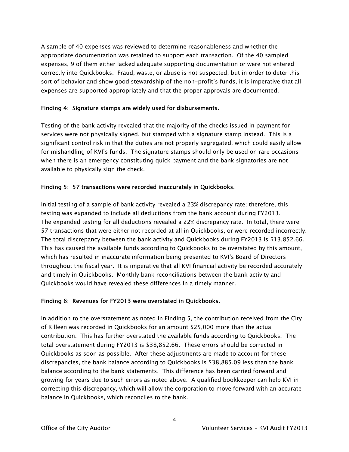A sample of 40 expenses was reviewed to determine reasonableness and whether the appropriate documentation was retained to support each transaction. Of the 40 sampled expenses, 9 of them either lacked adequate supporting documentation or were not entered correctly into Quickbooks. Fraud, waste, or abuse is not suspected, but in order to deter this sort of behavior and show good stewardship of the non-profit's funds, it is imperative that all expenses are supported appropriately and that the proper approvals are documented.

## Finding 4: Signature stamps are widely used for disbursements.

Testing of the bank activity revealed that the majority of the checks issued in payment for services were not physically signed, but stamped with a signature stamp instead. This is a significant control risk in that the duties are not properly segregated, which could easily allow for mishandling of KVI's funds. The signature stamps should only be used on rare occasions when there is an emergency constituting quick payment and the bank signatories are not available to physically sign the check.

# Finding 5: 57 transactions were recorded inaccurately in Quickbooks.

Initial testing of a sample of bank activity revealed a 23% discrepancy rate; therefore, this testing was expanded to include all deductions from the bank account during FY2013. The expanded testing for all deductions revealed a 22% discrepancy rate. In total, there were 57 transactions that were either not recorded at all in Quickbooks, or were recorded incorrectly. The total discrepancy between the bank activity and Quickbooks during FY2013 is \$13,852.66. This has caused the available funds according to Quickbooks to be overstated by this amount, which has resulted in inaccurate information being presented to KVI's Board of Directors throughout the fiscal year. It is imperative that all KVI financial activity be recorded accurately and timely in Quickbooks. Monthly bank reconciliations between the bank activity and Quickbooks would have revealed these differences in a timely manner.

## Finding 6: Revenues for FY2013 were overstated in Quickbooks.

In addition to the overstatement as noted in Finding 5, the contribution received from the City of Killeen was recorded in Quickbooks for an amount \$25,000 more than the actual contribution. This has further overstated the available funds according to Quickbooks. The total overstatement during FY2013 is \$38,852.66. These errors should be corrected in Quickbooks as soon as possible. After these adjustments are made to account for these discrepancies, the bank balance according to Quickbooks is \$38,885.09 less than the bank balance according to the bank statements. This difference has been carried forward and growing for years due to such errors as noted above. A qualified bookkeeper can help KVI in correcting this discrepancy, which will allow the corporation to move forward with an accurate balance in Quickbooks, which reconciles to the bank.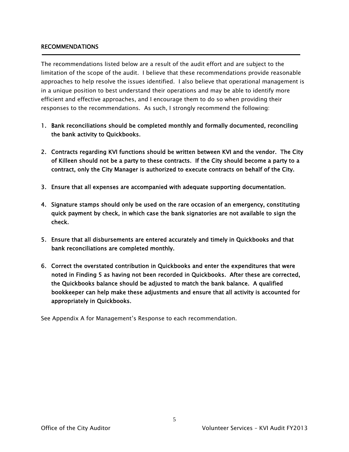### RECOMMENDATIONS

The recommendations listed below are a result of the audit effort and are subject to the limitation of the scope of the audit. I believe that these recommendations provide reasonable approaches to help resolve the issues identified. I also believe that operational management is in a unique position to best understand their operations and may be able to identify more efficient and effective approaches, and I encourage them to do so when providing their responses to the recommendations. As such, I strongly recommend the following:

- 1. Bank reconciliations should be completed monthly and formally documented, reconciling the bank activity to Quickbooks.
- 2. Contracts regarding KVI functions should be written between KVI and the vendor. The City of Killeen should not be a party to these contracts. If the City should become a party to a contract, only the City Manager is authorized to execute contracts on behalf of the City.
- 3. Ensure that all expenses are accompanied with adequate supporting documentation.
- 4. Signature stamps should only be used on the rare occasion of an emergency, constituting quick payment by check, in which case the bank signatories are not available to sign the check.
- 5. Ensure that all disbursements are entered accurately and timely in Quickbooks and that bank reconciliations are completed monthly.
- 6. Correct the overstated contribution in Quickbooks and enter the expenditures that were noted in Finding 5 as having not been recorded in Quickbooks. After these are corrected, the Quickbooks balance should be adjusted to match the bank balance. A qualified bookkeeper can help make these adjustments and ensure that all activity is accounted for appropriately in Quickbooks.

See Appendix A for Management's Response to each recommendation.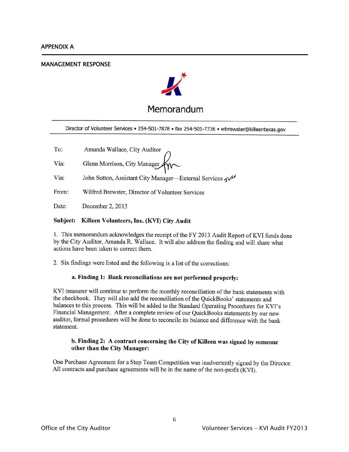#### **MANAGEMENT RESPONSE**



Director of Volunteer Services . 254-501-7878 . fax 254-501-7736 . wbrewster@killeentexas.gov

Amanda Wallace, City Auditor To:

Glenn Morrison, City Manager Via:

Via: John Sutton, Assistant City Manager—External Services  $\mathbf{w}^{\mathbf{s} \cdot \mathbf{y}}$ 

From: Wilfred Brewster, Director of Volunteer Services

Date: December 2, 2013

#### Subject: Killeen Volunteers, Inc. (KVI) City Audit

1. This memorandum acknowledges the receipt of the FY 2013 Audit Report of KVI funds done by the City Auditor, Amanda R. Wallace. It will also address the finding and will share what actions have been taken to correct them.

2. Six findings were listed and the following is a list of the corrections:

#### a. Finding 1: Bank reconciliations are not performed properly:

KVI treasurer will continue to perform the monthly reconciliation of the bank statements with the checkbook. They will also add the reconciliation of the QuickBooks' statements and balances to this process. This will be added to the Standard Operating Procedures for KVI's Financial Management. After a complete review of our QuickBooks statements by our new auditor, formal procedures will be done to reconcile its balance and difference with the bank statement.

#### b. Finding 2: A contract concerning the City of Killeen was signed by someone other than the City Manager:

One Purchase Agreement for a Step Team Competition was inadvertently signed by the Director. All contracts and purchase agreements will be in the name of the non-profit (KVI).